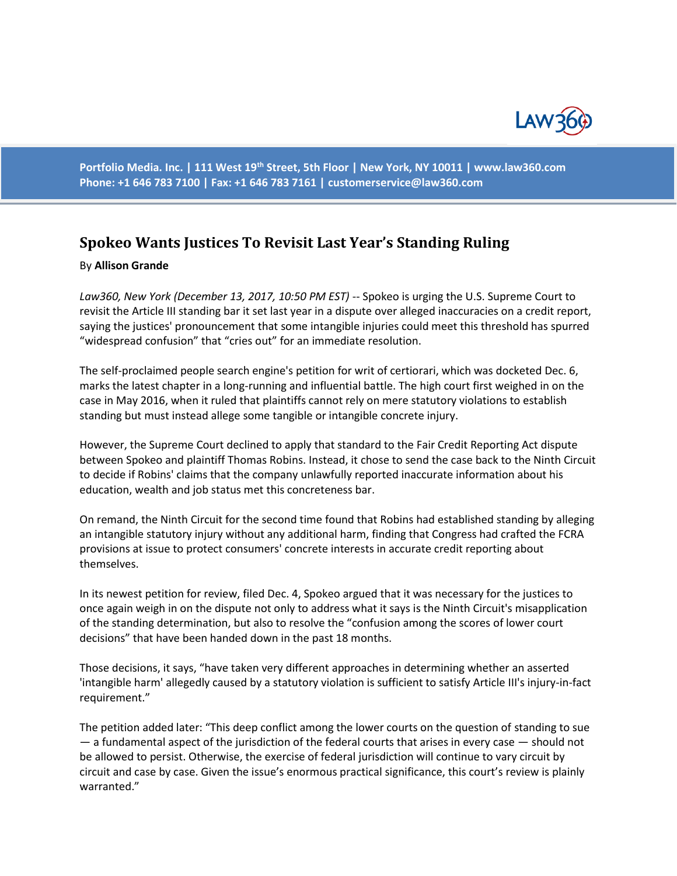

**Portfolio Media. Inc. | 111 West 19th Street, 5th Floor | New York, NY 10011 | www.law360.com Phone: +1 646 783 7100 | Fax: +1 646 783 7161 | [customerservice@law360.com](mailto:customerservice@law360.com)**

## **Spokeo Wants Justices To Revisit Last Year's Standing Ruling**

## By **Allison Grande**

*Law360, New York (December 13, 2017, 10:50 PM EST)* -- Spokeo is urging the U.S. Supreme Court to revisit the Article III standing bar it set last year in a dispute over alleged inaccuracies on a credit report, saying the justices' pronouncement that some intangible injuries could meet this threshold has spurred "widespread confusion" that "cries out" for an immediate resolution.

The self-proclaimed people search engine's petition for writ of certiorari, which was docketed Dec. 6, marks the latest chapter in a long-running and influential battle. The high court first weighed in on the case in May 2016, when it ruled that plaintiffs cannot rely on mere statutory violations to establish standing but must instead allege some tangible or intangible concrete injury.

However, the Supreme Court declined to apply that standard to the Fair Credit Reporting Act dispute between Spokeo and plaintiff Thomas Robins. Instead, it chose to send the case back to the Ninth Circuit to decide if Robins' claims that the company unlawfully reported inaccurate information about his education, wealth and job status met this concreteness bar.

On remand, the Ninth Circuit for the second time found that Robins had established standing by alleging an intangible statutory injury without any additional harm, finding that Congress had crafted the FCRA provisions at issue to protect consumers' concrete interests in accurate credit reporting about themselves.

In its newest petition for review, filed Dec. 4, Spokeo argued that it was necessary for the justices to once again weigh in on the dispute not only to address what it says is the Ninth Circuit's misapplication of the standing determination, but also to resolve the "confusion among the scores of lower court decisions" that have been handed down in the past 18 months.

Those decisions, it says, "have taken very different approaches in determining whether an asserted 'intangible harm' allegedly caused by a statutory violation is sufficient to satisfy Article III's injury-in-fact requirement."

The petition added later: "This deep conflict among the lower courts on the question of standing to sue — a fundamental aspect of the jurisdiction of the federal courts that arises in every case — should not be allowed to persist. Otherwise, the exercise of federal jurisdiction will continue to vary circuit by circuit and case by case. Given the issue's enormous practical significance, this court's review is plainly warranted."